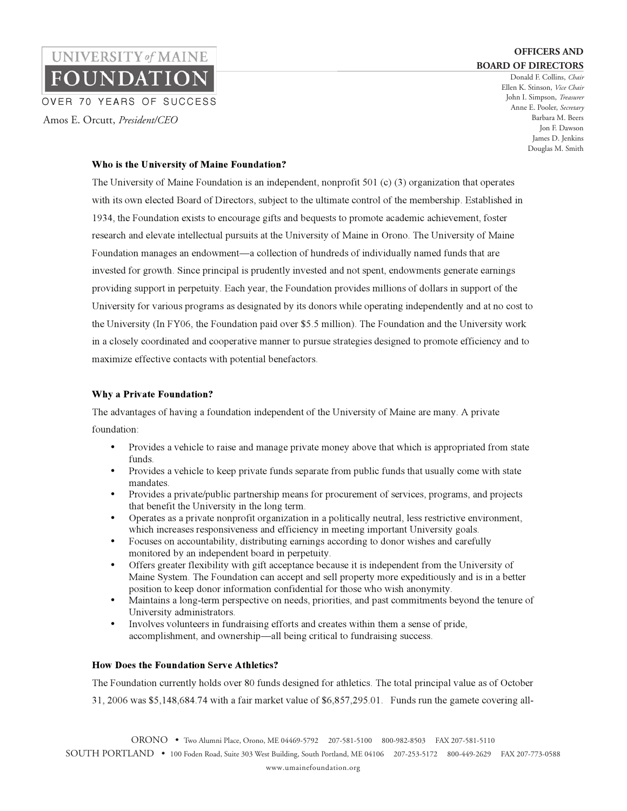Donald F. Collins, *Chair*  Ellen K. Stinson, *Vice Chair* John I. Simpson, *Treasurer* Anne E. Pooler, *Secretary* Barbara M. Beers Jon F. Dawson James D. Jenkins Douglas M. Smith

### **Who is the University of Maine Foundation?**

Amos E. Orcutt, *President/CEO*

OVER 70 YEARS OF SUCCESS

UNIVERSITY of MAINE

**OUNDATIO** 

The University of Maine Foundation is an independent, nonprofit 501 (c) (3) organization that operates with its own elected Board of Directors, subject to the ultimate control of the membership. Established in 1934, the Foundation exists to encourage gifts and bequests to promote academic achievement, foster research and elevate intellectual pursuits at the University of Maine in Orono. The University of Maine Foundation manages an endowment—a collection of hundreds of individually named funds that are invested for growth. Since principal is prudently invested and not spent, endowments generate earnings providing support in perpetuity. Each year, the Foundation provides millions of dollars in support of the University for various programs as designated by its donors while operating independently and at no cost to the University (In FY06, the Foundation paid over \$5.5 million). The Foundation and the University work in a closely coordinated and cooperative manner to pursue strategies designed to promote efficiency and to maximize effective contacts with potential benefactors.

#### **Why a Private Foundation?**

The advantages of having a foundation independent of the University of Maine are many. A private foundation:

- Provides a vehicle to raise and manage private money above that which is appropriated from state funds.
- Provides a vehicle to keep private funds separate from public funds that usually come with state mandates.
- Provides a private/public partnership means for procurement of services, programs, and projects that benefit the University in the long term.
- Operates as a private nonprofit organization in a politically neutral, less restrictive environment, which increases responsiveness and efficiency in meeting important University goals.
- Focuses on accountability, distributing earnings according to donor wishes and carefully monitored by an independent board in perpetuity.
- Offers greater flexibility with gift acceptance because it is independent from the University of Maine System. The Foundation can accept and sell property more expeditiously and is in a better position to keep donor information confidential for those who wish anonymity.
- Maintains a long-term perspective on needs, priorities, and past commitments beyond the tenure of University administrators.
- Involves volunteers in fundraising efforts and creates within them a sense of pride, accomplishment, and ownership—all being critical to fundraising success.

### **How Does the Foundation Serve Athletics?**

The Foundation currently holds over 80 funds designed for athletics. The total principal value as of October

31, 2006 was \$5,148,684.74 with a fair market value of \$6,857,295.01. Funds run the gamete covering all-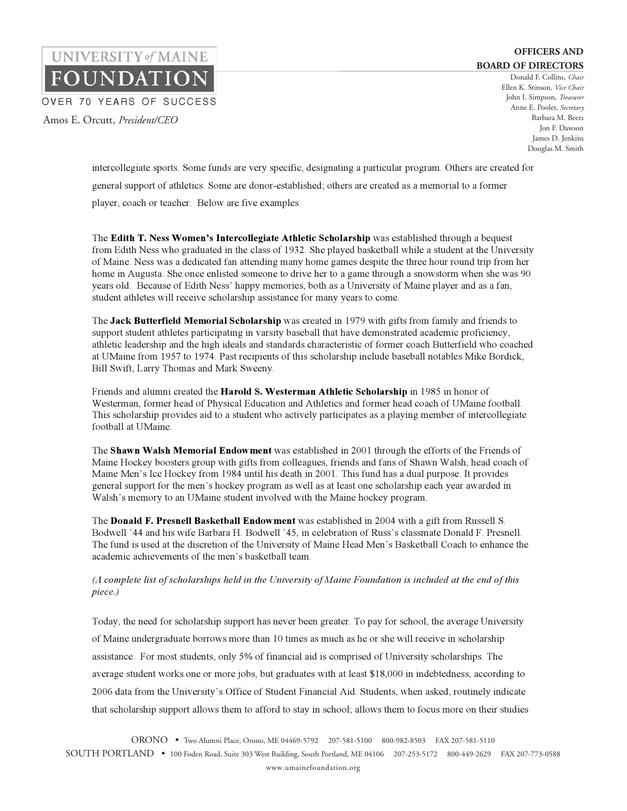Donald F. Collins, *Chair*  Ellen K. Stinson, *Vice Chair* John I. Simpson, *Treasurer* Anne E. Pooler, *Secretary* Barbara M. Beers Jon F. Dawson James D. Jenkins Douglas M. Smith

intercollegiate sports. Some funds are very specific, designating a particular program. Others are created for general support of athletics. Some are donor-established; others are created as a memorial to a former player, coach or teacher. Below are five examples.

Amos E. Orcutt, *President/CEO*

OVER 70 YEARS OF SUCCESS

UNIVERSITY of MAINE

**OUNDATIO** 

The **Edith T. Ness Women's Intercollegiate Athletic Scholarship** was established through a bequest from Edith Ness who graduated in the class of 1932. She played basketball while a student at the University of Maine. Ness was a dedicated fan attending many home games despite the three hour round trip from her home in Augusta. She once enlisted someone to drive her to a game through a snowstorm when she was 90 years old. Because of Edith Ness' happy memories, both as a University of Maine player and as a fan, student athletes will receive scholarship assistance for many years to come.

The **Jack Butterfield Memorial Scholarship** was created in 1979 with gifts from family and friends to support student athletes participating in varsity baseball that have demonstrated academic proficiency, athletic leadership and the high ideals and standards characteristic of former coach Butterfield who coached at UMaine from 1957 to 1974. Past recipients of this scholarship include baseball notables Mike Bordick, Bill Swift, Larry Thomas and Mark Sweeny.

Friends and alumni created the **Harold S. Westerman Athletic Scholarship** in 1985 in honor of Westerman, former head of Physical Education and Athletics and former head coach of UMaine football. This scholarship provides aid to a student who actively participates as a playing member of intercollegiate football at UMaine.

The **Shawn Walsh Memorial Endowment** was established in 2001 through the efforts of the Friends of Maine Hockey boosters group with gifts from colleagues, friends and fans of Shawn Walsh, head coach of Maine Men's Ice Hockey from 1984 until his death in 2001. This fund has a dual purpose. It provides general support for the men's hockey program as well as at least one scholarship each year awarded in Walsh's memory to an UMaine student involved with the Maine hockey program.

The **Donald F. Presnell Basketball Endowment** was established in 2004 with a gift from Russell S. Bodwell '44 and his wife Barbara H. Bodwell '45, in celebration of Russ's classmate Donald F. Presnell. The fund is used at the discretion of the University of Maine Head Men's Basketball Coach to enhance the academic achievements of the men's basketball team.

## *(A complete list of scholarships held in the University of Maine Foundation is included at the end of this piece.)*

Today, the need for scholarship support has never been greater. To pay for school, the average University of Maine undergraduate borrows more than 10 times as much as he or she will receive in scholarship assistance. For most students, only 5% of financial aid is comprised of University scholarships. The average student works one or more jobs, but graduates with at least \$18,000 in indebtedness, according to 2006 data from the University's Office of Student Financial Aid. Students, when asked, routinely indicate that scholarship support allows them to afford to stay in school; allows them to focus more on their studies

ORONO • Two Alumni Place, Orono, ME 04469-5792 207-581-5100 800-982-8503 FAX 207-581-5110 SOUTH PORTLAND • 100 Foden Road, Suite 303 West Building, South Portland, ME 04106 207-253-5172 800-449-2629 FAX 207-773-0588

www.umainefoundation.org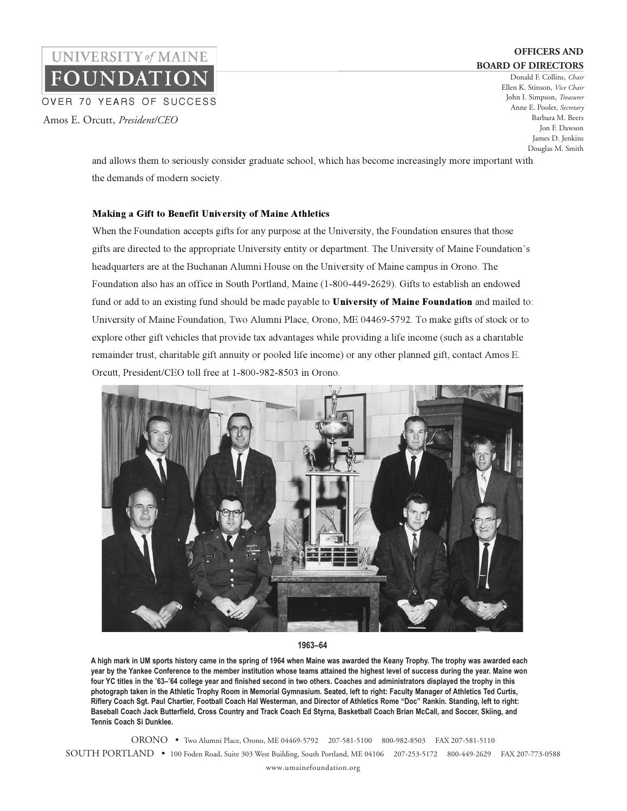Donald F. Collins, *Chair*  Ellen K. Stinson, *Vice Chair* John I. Simpson, *Treasurer* Anne E. Pooler, *Secretary* Barbara M. Beers Jon F. Dawson James D. Jenkins Douglas M. Smith

and allows them to seriously consider graduate school, which has become increasingly more important with the demands of modern society.

### **Making a Gift to Benefit University of Maine Athletics**

Amos E. Orcutt, *President/CEO*

OVER 70 YEARS OF SUCCESS

UNIVERSITY of MAINE

**UNDATIO** 

When the Foundation accepts gifts for any purpose at the University, the Foundation ensures that those gifts are directed to the appropriate University entity or department. The University of Maine Foundation's headquarters are at the Buchanan Alumni House on the University of Maine campus in Orono. The Foundation also has an office in South Portland, Maine (1-800-449-2629). Gifts to establish an endowed fund or add to an existing fund should be made payable to **University of Maine Foundation** and mailed to: University of Maine Foundation, Two Alumni Place, Orono, ME 04469-5792. To make gifts of stock or to explore other gift vehicles that provide tax advantages while providing a life income (such as a charitable remainder trust, charitable gift annuity or pooled life income) or any other planned gift, contact Amos E. Orcutt, President/CEO toll free at 1-800-982-8503 in Orono.



#### **1963–64**

**A high mark in UM sports history came in the spring of 1964 when Maine was awarded the Keany Trophy. The trophy was awarded each year by the Yankee Conference to the member institution whose teams attained the highest level of success during the year. Maine won four YC titles in the '63–'64 college year and finished second in two others. Coaches and administrators displayed the trophy in this photograph taken in the Athletic Trophy Room in Memorial Gymnasium. Seated, left to right: Faculty Manager of Athletics Ted Curtis, Riflery Coach Sgt. Paul Chartier, Football Coach Hal Westerman, and Director of Athletics Rome "Doc" Rankin. Standing, left to right: Baseball Coach Jack Butterfield, Cross Country and Track Coach Ed Styrna, Basketball Coach Brian McCall, and Soccer, Skiing, and Tennis Coach Si Dunklee.**

ORONO • Two Alumni Place, Orono, ME 04469-5792 207-581-5100 800-982-8503 FAX 207-581-5110 SOUTH PORTLAND • 100 Foden Road, Suite 303 West Building, South Portland, ME 04106 207-253-5172 800-449-2629 FAX 207-773-0588